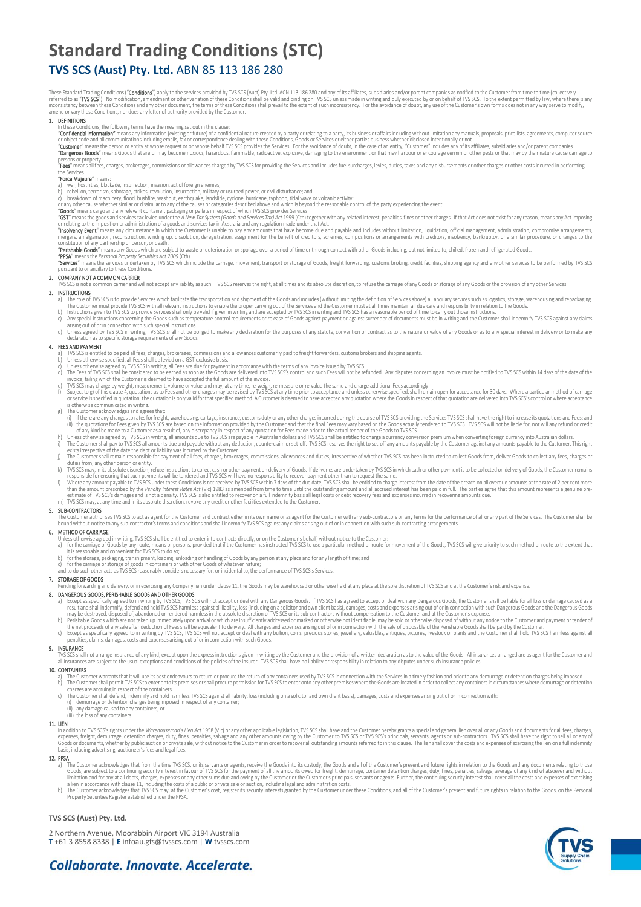# **Standard Trading Conditions (STC)**

## **TVS SCS (Aust) Pty. Ltd.** ABN 85 113 186 280

These Standard Trading Conditions ("**Conditions"**) apply to the services provided by TVS-XS (Aust) Pty. Ltd. ACN 113 186 280 and any of its affiliates, subsidiares and/or parent companies as notified to the eutstomer from

#### 1. DEFINITIONS

- In these Conditions, the following terms have the meaning set out in this clause:<br>"**Confidential Information"** means any information (existing or future) of a confidential nature created by a party or relating to a party,
- or object code and all communications including emails, fax or correspondence dealing with these Conditions, Goods or Services or either parties business whether disclosed intentionally or not. This affiliates, subsidiarie

persons or property.<br>"**Fees**" means all fees, charges, brokerages, commissions or allowances charged by TVS SCS for providing the Services and includes fuel surcharges, levies, duties, taxes and any disbursements or other

## the Services.<br>"**Force Majeure**" means:

a) war, nostilities, blockade, insurrection, invarion, acto foreign enemies;<br>c) beligion, termsins, sabotage, strikes, revolution, insurrection, military or usurped power, or civil disturbance; and<br>c) breakdown of machiner

mergers, amagamaton, reconstruction, winding up, dissolution, deregistration, assignment for the benefit of creditors, schemes, compositions or arrangements with creditors, insolvency, bankruptcy, or a similar procedure, o

### 2. COMPANY NOT A COMMON CARRIER

or a recomment carrier and will not accept any liability as such. TVS SCS reserves the right, at all times and its absolute discretion, to refuse the carriage of any Goods or storage of any Goods or the provision of any ot

3. INSIGNATIONS<br>a) The role of TVS SCS is to provide Services which facilitate the transportation and shipment of the Goods and includes (without limiting the definition of Services above) all ancillary services such as lo

- 
- d) Unless agreed by IVS SCS in writing, IVS SCS shall not be obliged to make any declaration for the purposes of any statute, convention or contract as to the nature or value of any Goods or as to any special interest in d

### 4. FEES AND PAYMENT

- 
- a) IVS SCS is entitled to be paid all rees, charges, brokerages, commissions and allowances customanly paid to freight forwarders, customs brokers and shipping agents.<br>b) Unless otherwise agreed by TVS SCS in writing, all
- 
- 
- 
- 
- in the Customer is deemed to have acceptat the Ullimout of the measure or re-value the same and charge additional Fees accordingly.<br>In SusSS may charge by weight, measurement to have accepted in the limout of the numerable
- 
- 
- 
- K) IVS SCS may, in its absolute discretion, retuse instructions to collect cash or other payment is to be collected on delivery of Goods, the Customer remains is not responsible for ensuring that such payments will be tend
- 

### 5. SUB-CONTRACTORS

The Customer authorises TVS SCS to act as agent for the Customer and contract either in its own name or as agent for the Customer with any sub-contractors on any terms for the performance of all or any part of the Services

- 
- **6. MEIHOD OF CARKIAGE**<br>Unless otherwise agreed in writing, TVS SCS shall be entitled to enter into contracts directly, or on the Customer's behalf, without notice to the Customer:<br>a) for the carriage of Goods by any rout
	-
	- b) for the storage, packaging, transhipment, loading, unloading or handling of Goods by any person at any place and for any length of time; and<br>c) for the carriage or storage of goods in containers or with other Goods

7. STORAGE OF GOODS<br>Pending forwarding and delivery, or in exercising any Company lien under clause 11, the Goods may be warehoused or otherwise held at any place at the sole discretion of TVS SCS and at the Customer's ris

### 8. DANGEROUS GOODS, PERISHABLE GOODS AND OTHER GOODS

- a) Except as specifically agreed to in writing by IVS SCS, IVS SCS will not accept or deal with any Dangerous Goods. If IVS SCS has agreed to accept or deal with any Dangerous Goods, the Customer shall be liable for all lo
- 
- the net proceeds of any sale after deduction of Hees shall be equivalent to delivery. All charges and expenses ansing out of or in connection with the sale of disposable of the Penshable Goods shall be paid by the Customer

### 9. INSURANCE

TVS SCS shall not arrange insurance of any kind, except upon the express instructions given in writing by the Customer and the provision of a written declaration as to the value of the Goods. All insurances arranged are as

- 
- 10. CONTAINERS<br>a) The Customer warrants that it will use its best endeavours to return or procure the return of any containers used by TVS SCS in connection with the Services in a timely fashion and prior to any demurrage
	-
	-
	- any damage caused to any containers; or (iii) the loss of any containers.

### 11. LIEN

In addition to TVS SCS's rights under the *Warehouseman's Lien Act* 1958 (Vic) or any other applicable legislation, TVS SCS shall have and the Customer hereby grants a special and general lien over all or any Goods and doc

- 12. PPSA<br>a) The Customer acknowledges that from the time TVS SCS, or its servants or agents, receive the Goods into its custody, the Goods and all of the Customer's present and future rights in relation to the Goods and an
- Property Securities Register established under the PPSA.

### **TVS SCS (Aust) Pty. Ltd.**

2 Northern Avenue, Moorabbin Airport VIC 3194 Australia **T** +61 3 8558 8338 | **E** infoau.gfs@tvsscs.com | **W** tvsscs.com



## Collaborate, Innovate, Accelerate,